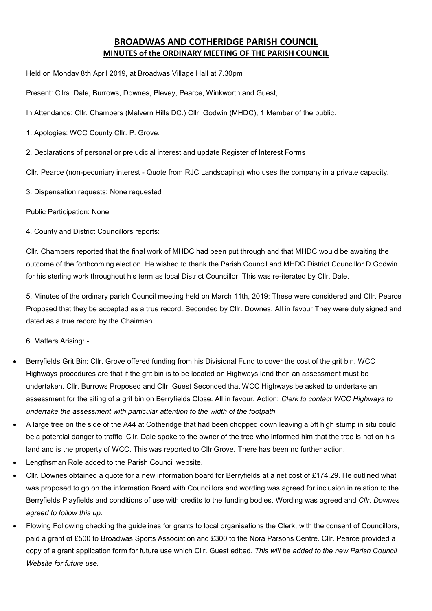# **BROADWAS AND COTHERIDGE PARISH COUNCIL MINUTES of the ORDINARY MEETING OF THE PARISH COUNCIL**

Held on Monday 8th April 2019, at Broadwas Village Hall at 7.30pm

Present: Cllrs. Dale, Burrows, Downes, Plevey, Pearce, Winkworth and Guest,

In Attendance: Cllr. Chambers (Malvern Hills DC.) Cllr. Godwin (MHDC), 1 Member of the public.

1. Apologies: WCC County Cllr. P. Grove.

2. Declarations of personal or prejudicial interest and update Register of Interest Forms

Cllr. Pearce (non-pecuniary interest - Quote from RJC Landscaping) who uses the company in a private capacity.

3. Dispensation requests: None requested

Public Participation: None

4. County and District Councillors reports:

Cllr. Chambers reported that the final work of MHDC had been put through and that MHDC would be awaiting the outcome of the forthcoming election. He wished to thank the Parish Council and MHDC District Councillor D Godwin for his sterling work throughout his term as local District Councillor. This was re-iterated by Cllr. Dale.

5. Minutes of the ordinary parish Council meeting held on March 11th, 2019: These were considered and Cllr. Pearce Proposed that they be accepted as a true record. Seconded by Cllr. Downes. All in favour They were duly signed and dated as a true record by the Chairman.

6. Matters Arising: -

- Berryfields Grit Bin: Cllr. Grove offered funding from his Divisional Fund to cover the cost of the grit bin. WCC Highways procedures are that if the grit bin is to be located on Highways land then an assessment must be undertaken. Cllr. Burrows Proposed and Cllr. Guest Seconded that WCC Highways be asked to undertake an assessment for the siting of a grit bin on Berryfields Close. All in favour. Action: *Clerk to contact WCC Highways to undertake the assessment with particular attention to the width of the footpath.*
- A large tree on the side of the A44 at Cotheridge that had been chopped down leaving a 5ft high stump in situ could be a potential danger to traffic. Cllr. Dale spoke to the owner of the tree who informed him that the tree is not on his land and is the property of WCC. This was reported to Cllr Grove. There has been no further action.
- Lengthsman Role added to the Parish Council website.
- Cllr. Downes obtained a quote for a new information board for Berryfields at a net cost of £174.29. He outlined what was proposed to go on the information Board with Councillors and wording was agreed for inclusion in relation to the Berryfields Playfields and conditions of use with credits to the funding bodies. Wording was agreed and *Cllr. Downes agreed to follow this up*.
- Flowing Following checking the guidelines for grants to local organisations the Clerk, with the consent of Councillors, paid a grant of £500 to Broadwas Sports Association and £300 to the Nora Parsons Centre. Cllr. Pearce provided a copy of a grant application form for future use which Cllr. Guest edited. *This will be added to the new Parish Council Website for future use.*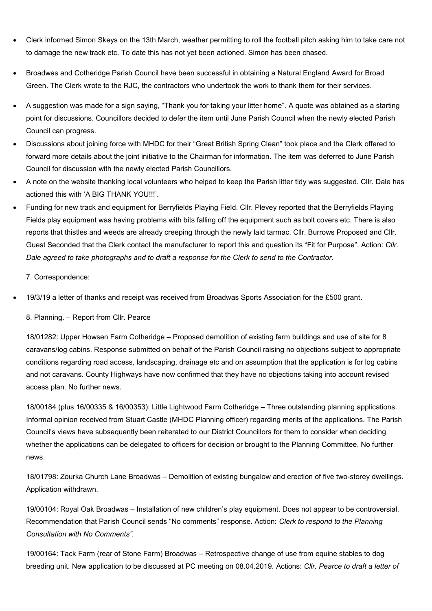- Clerk informed Simon Skeys on the 13th March, weather permitting to roll the football pitch asking him to take care not to damage the new track etc. To date this has not yet been actioned. Simon has been chased.
- Broadwas and Cotheridge Parish Council have been successful in obtaining a Natural England Award for Broad Green. The Clerk wrote to the RJC, the contractors who undertook the work to thank them for their services.
- A suggestion was made for a sign saying, "Thank you for taking your litter home". A quote was obtained as a starting point for discussions. Councillors decided to defer the item until June Parish Council when the newly elected Parish Council can progress.
- Discussions about joining force with MHDC for their "Great British Spring Clean" took place and the Clerk offered to forward more details about the joint initiative to the Chairman for information. The item was deferred to June Parish Council for discussion with the newly elected Parish Councillors.
- A note on the website thanking local volunteers who helped to keep the Parish litter tidy was suggested. Cllr. Dale has actioned this with 'A BIG THANK YOU!!!'.
- Funding for new track and equipment for Berryfields Playing Field. Cllr. Plevey reported that the Berryfields Playing Fields play equipment was having problems with bits falling off the equipment such as bolt covers etc. There is also reports that thistles and weeds are already creeping through the newly laid tarmac. Cllr. Burrows Proposed and Cllr. Guest Seconded that the Clerk contact the manufacturer to report this and question its "Fit for Purpose". Action: *Cllr. Dale agreed to take photographs and to draft a response for the Clerk to send to the Contractor.*

7. Correspondence:

• 19/3/19 a letter of thanks and receipt was received from Broadwas Sports Association for the £500 grant.

8. Planning. – Report from Cllr. Pearce

18/01282: Upper Howsen Farm Cotheridge – Proposed demolition of existing farm buildings and use of site for 8 caravans/log cabins. Response submitted on behalf of the Parish Council raising no objections subject to appropriate conditions regarding road access, landscaping, drainage etc and on assumption that the application is for log cabins and not caravans. County Highways have now confirmed that they have no objections taking into account revised access plan. No further news.

18/00184 (plus 16/00335 & 16/00353): Little Lightwood Farm Cotheridge – Three outstanding planning applications. Informal opinion received from Stuart Castle (MHDC Planning officer) regarding merits of the applications. The Parish Council's views have subsequently been reiterated to our District Councillors for them to consider when deciding whether the applications can be delegated to officers for decision or brought to the Planning Committee. No further news.

18/01798: Zourka Church Lane Broadwas – Demolition of existing bungalow and erection of five two-storey dwellings. Application withdrawn.

19/00104: Royal Oak Broadwas – Installation of new children's play equipment. Does not appear to be controversial. Recommendation that Parish Council sends "No comments" response. Action: *Clerk to respond to the Planning Consultation with No Comments".*

19/00164: Tack Farm (rear of Stone Farm) Broadwas – Retrospective change of use from equine stables to dog breeding unit. New application to be discussed at PC meeting on 08.04.2019. Actions: *Cllr. Pearce to draft a letter of*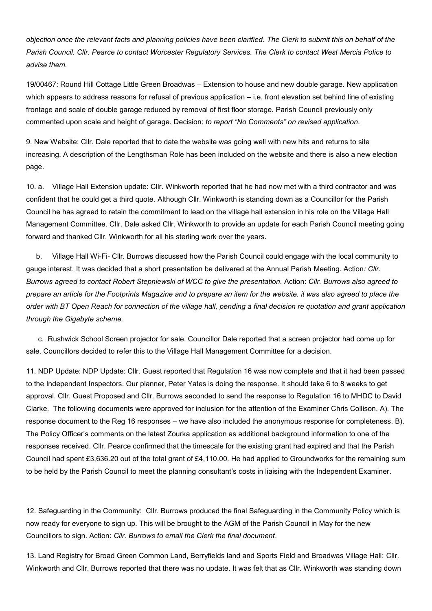*objection once the relevant facts and planning policies have been clarified. The Clerk to submit this on behalf of the Parish Council. Cllr. Pearce to contact Worcester Regulatory Services. The Clerk to contact West Mercia Police to advise them.*

19/00467: Round Hill Cottage Little Green Broadwas – Extension to house and new double garage. New application which appears to address reasons for refusal of previous application – i.e. front elevation set behind line of existing frontage and scale of double garage reduced by removal of first floor storage. Parish Council previously only commented upon scale and height of garage. Decision: *to report "No Comments" on revised application*.

9. New Website: Cllr. Dale reported that to date the website was going well with new hits and returns to site increasing. A description of the Lengthsman Role has been included on the website and there is also a new election page.

10. a. Village Hall Extension update: Cllr. Winkworth reported that he had now met with a third contractor and was confident that he could get a third quote. Although Cllr. Winkworth is standing down as a Councillor for the Parish Council he has agreed to retain the commitment to lead on the village hall extension in his role on the Village Hall Management Committee. Cllr. Dale asked Cllr. Winkworth to provide an update for each Parish Council meeting going forward and thanked Cllr. Winkworth for all his sterling work over the years.

 b. Village Hall Wi-Fi- Cllr. Burrows discussed how the Parish Council could engage with the local community to gauge interest. It was decided that a short presentation be delivered at the Annual Parish Meeting. Action*: Cllr. Burrows agreed to contact Robert Stepniewski of WCC to give the presentation.* Action: *Cllr. Burrows also agreed to prepare an article for the Footprints Magazine and to prepare an item for the website. it was also agreed to place the order with BT Open Reach for connection of the village hall, pending a final decision re quotation and grant application through the Gigabyte scheme.*

 c. Rushwick School Screen projector for sale. Councillor Dale reported that a screen projector had come up for sale. Councillors decided to refer this to the Village Hall Management Committee for a decision.

11. NDP Update: NDP Update: Cllr. Guest reported that Regulation 16 was now complete and that it had been passed to the Independent Inspectors. Our planner, Peter Yates is doing the response. It should take 6 to 8 weeks to get approval. Cllr. Guest Proposed and Cllr. Burrows seconded to send the response to Regulation 16 to MHDC to David Clarke. The following documents were approved for inclusion for the attention of the Examiner Chris Collison. A). The response document to the Reg 16 responses – we have also included the anonymous response for completeness. B). The Policy Officer's comments on the latest Zourka application as additional background information to one of the responses received. Cllr. Pearce confirmed that the timescale for the existing grant had expired and that the Parish Council had spent £3,636.20 out of the total grant of £4,110.00. He had applied to Groundworks for the remaining sum to be held by the Parish Council to meet the planning consultant's costs in liaising with the Independent Examiner.

12. Safeguarding in the Community: Cllr. Burrows produced the final Safeguarding in the Community Policy which is now ready for everyone to sign up. This will be brought to the AGM of the Parish Council in May for the new Councillors to sign. Action: *Cllr. Burrows to email the Clerk the final document*.

13. Land Registry for Broad Green Common Land, Berryfields land and Sports Field and Broadwas Village Hall: Cllr. Winkworth and Cllr. Burrows reported that there was no update. It was felt that as Cllr. Winkworth was standing down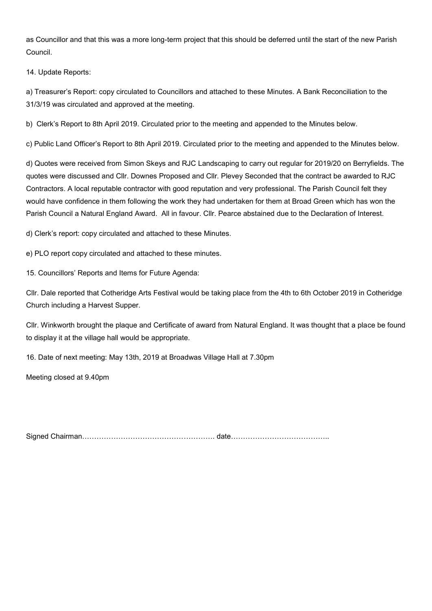as Councillor and that this was a more long-term project that this should be deferred until the start of the new Parish Council.

14. Update Reports:

a) Treasurer's Report: copy circulated to Councillors and attached to these Minutes. A Bank Reconciliation to the 31/3/19 was circulated and approved at the meeting.

b) Clerk's Report to 8th April 2019. Circulated prior to the meeting and appended to the Minutes below.

c) Public Land Officer's Report to 8th April 2019. Circulated prior to the meeting and appended to the Minutes below.

d) Quotes were received from Simon Skeys and RJC Landscaping to carry out regular for 2019/20 on Berryfields. The quotes were discussed and Cllr. Downes Proposed and Cllr. Plevey Seconded that the contract be awarded to RJC Contractors. A local reputable contractor with good reputation and very professional. The Parish Council felt they would have confidence in them following the work they had undertaken for them at Broad Green which has won the Parish Council a Natural England Award. All in favour. Cllr. Pearce abstained due to the Declaration of Interest.

d) Clerk's report: copy circulated and attached to these Minutes.

e) PLO report copy circulated and attached to these minutes.

15. Councillors' Reports and Items for Future Agenda:

Cllr. Dale reported that Cotheridge Arts Festival would be taking place from the 4th to 6th October 2019 in Cotheridge Church including a Harvest Supper.

Cllr. Winkworth brought the plaque and Certificate of award from Natural England. It was thought that a place be found to display it at the village hall would be appropriate.

16. Date of next meeting: May 13th, 2019 at Broadwas Village Hall at 7.30pm

Meeting closed at 9.40pm

Signed Chairman………………………………………………. date…………………………………..